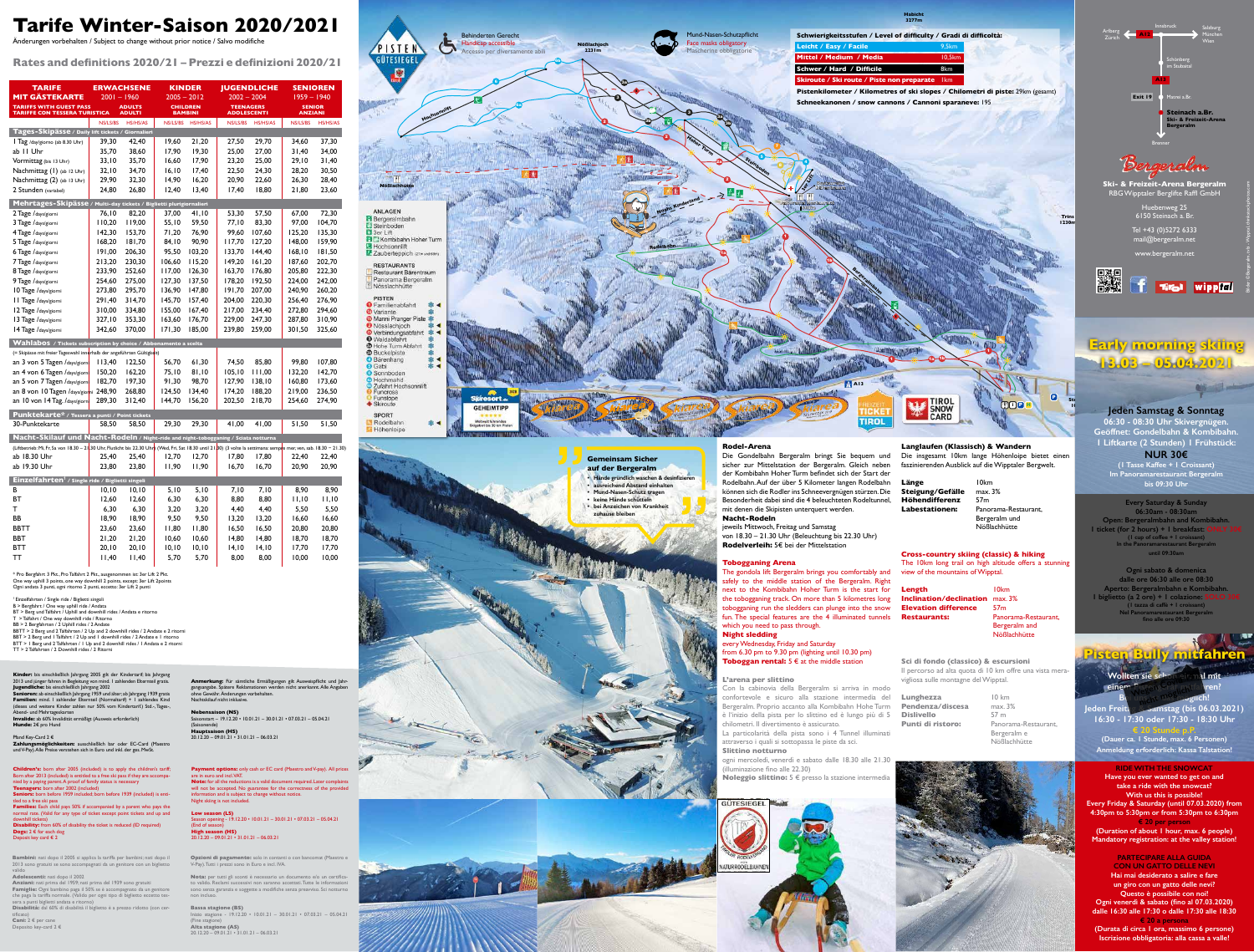| <b>TARIFE</b>                                                                                                                                                           |               | <b>ERWACHSENE</b>              | <b>KINDER</b>                     |          | <b>JUGENDLICHE</b> |                                        | <b>SENIOREN</b>          |          |
|-------------------------------------------------------------------------------------------------------------------------------------------------------------------------|---------------|--------------------------------|-----------------------------------|----------|--------------------|----------------------------------------|--------------------------|----------|
| <b>MIT GÄSTEKARTE</b>                                                                                                                                                   | $2001 - 1960$ |                                | $2005 - 2012$                     |          |                    | $2002 - 2004$                          | $1959 - 1940$            |          |
| <b>TARIFFS WITH GUEST PASS</b><br><b>TARIFFE CON TESSERA TURISTICA</b>                                                                                                  |               | <b>ADULTS</b><br><b>ADULTI</b> | <b>CHILDREN</b><br><b>BAMBINI</b> |          |                    | <b>TEENAGERS</b><br><b>ADOLESCENTI</b> | <b>SENIOR</b><br>ANZIANI |          |
|                                                                                                                                                                         | NS/LS/BS      | HS/HS/AS                       | NS/LS/BS                          | HS/HS/AS | NS/LS/BS           | HS/HS/AS                               | NS/LS/BS                 | HS/HS/AS |
| Tages-Skipässe / Daily lift tickets /                                                                                                                                   |               | Giornalieri                    |                                   |          |                    |                                        |                          |          |
| Tag /day/giorno (ab 8.30 Uhr)                                                                                                                                           | 39,30         | 42,40                          | 19,60                             | 21,20    | 27,50              | 29,70                                  | 34,60                    | 37,30    |
| ab II Uhr                                                                                                                                                               | 35,70         | 38,60                          | 17,90                             | 19,30    | 25,00              | 27,00                                  | 31,40                    | 34,00    |
| Vormittag (bis 13 Uhr)                                                                                                                                                  | 33,10         | 35,70                          | 16,60                             | 17,90    | 23,20              | 25,00                                  | 29,10                    | 31,40    |
| Nachmittag (1) (ab 12 Uhr)                                                                                                                                              | 32,10         | 34,70                          | 16, 10                            | 17,40    | 22,50              | 24,30                                  | 28,20                    | 30,50    |
| Nachmittag (2) (ab 13 Uhr)                                                                                                                                              | 29,90         | 32,30                          | 14,90                             | 16,20    | 20,90              | 22,60                                  | 26,30                    | 28,40    |
| 2 Stunden (variabel)                                                                                                                                                    | 24,80         | 26,80                          | 12,40                             | 13,40    | 17,40              | 18,80                                  | 21,80                    | 23,60    |
| Mehrtages-Skipässe / Multi-day tickets / Biglietti plurigiornalieri                                                                                                     |               |                                |                                   |          |                    |                                        |                          |          |
| 2 Tage /days/giorni                                                                                                                                                     | 76,10         | 82,20                          | 37,00                             | 41,10    | 53,30              | 57,50                                  | 67,00                    | 72,30    |
| 3 Tage /days/giorni                                                                                                                                                     | 110,20        | 119,00                         | 55,10                             | 59,50    | 77,10              | 83,30                                  | 97,00                    | 104,70   |
| 4 Tage /days/giorni                                                                                                                                                     | 142,30        | 153,70                         | 71,20                             | 76,90    | 99,60              | 107,60                                 | 125,20                   | 135,30   |
| 5 Tage /days/giorni                                                                                                                                                     | 168,20        | 181,70                         | 84,10                             | 90,90    | 117,70             | 127,20                                 | 148,00                   | 159,90   |
| 6 Tage /days/giorni                                                                                                                                                     | 191,00        | 206,30                         | 95,50                             | 103,20   | 133,70             | 144,40                                 | 168, 10                  | 181,50   |
| 7 Tage /days/giorni                                                                                                                                                     | 213,20        | 230,30                         | 106,60                            | 115,20   | 149,20             | 161,20                                 | 187,60                   | 202,70   |
| 8 Tage /days/giorni                                                                                                                                                     | 233,90        | 252,60                         | 117,00                            | 126,30   | 163,70             | 176,80                                 | 205,80                   | 222,30   |
| 9 Tage /days/giorni                                                                                                                                                     | 254,60        | 275,00                         | 127,30                            | 137,50   | 178,20             | 192,50                                 | 224,00                   | 242,00   |
| 10 Tage /days/giorni                                                                                                                                                    | 273,80        | 295,70                         | 136,90                            | 147,80   | 191,70             | 207,00                                 | 240,90                   | 260,20   |
| II Tage /days/giorni                                                                                                                                                    | 291,40        | 314,70                         | 145,70                            | 157,40   | 204,00             | 220,30                                 | 256,40                   | 276,90   |
| 12 Tage /days/giorni                                                                                                                                                    | 310,00        | 334,80                         | 155,00                            | 167,40   | 217,00             | 234,40                                 | 272,80                   | 294,60   |
| 13 Tage /days/giorni                                                                                                                                                    | 327,10        | 353,30                         | 163,60                            | 176,70   | 229,00             | 247,30                                 | 287,80                   | 310,90   |
| 14 Tage /days/giorni                                                                                                                                                    | 342,60        | 370,00                         | 171,30                            | 185,00   | 239,80             | 259,00                                 | 301,50                   | 325,60   |
| Wahlabos / Tickets subscription by choice / Abbonamento a scelta                                                                                                        |               |                                |                                   |          |                    |                                        |                          |          |
| (= Skipässe mit freier Tageswahl innerhalb der angeführten Gültigkeit)                                                                                                  |               |                                |                                   |          |                    |                                        |                          |          |
| an 3 von 5 Tagen / days/giorn                                                                                                                                           | 113,40        | 122,50                         | 56,70                             | 61,30    | 74,50              | 85,80                                  | 99,80                    | 107,80   |
| an 4 von 6 Tagen / days/giorni                                                                                                                                          | 150,20        | 162,20                         | 75,10                             | 81,10    | 105, 10            | 111,00                                 | 132,20                   | 142,70   |
| an 5 von 7 Tagen / days/giorni                                                                                                                                          | 182,70        | 197,30                         | 91,30                             | 98,70    | 127,90             | 138,10                                 | 160,80                   | 173,60   |
| an 8 von 10 Tagen / days/giorni 248,90                                                                                                                                  |               | 268,80                         | 124,50                            | 134,40   | 174,20             | 188,20                                 | 219,00                   | 236,50   |
| an 10 von 14 Tag. /days/giorn                                                                                                                                           | 289,30        | 312,40                         | 144,70                            | 156,20   | 202,50             | 218,70                                 | 254,60                   | 274,90   |
| Punktekarte* / Tessera a punti / Point tickets                                                                                                                          |               |                                |                                   |          |                    |                                        |                          |          |
| 30-Punktekarte                                                                                                                                                          | 58,50         | 58,50                          | 29,30                             | 29,30    | 41,00              | 41,00                                  | 51,50                    | 51,50    |
| Nacht-Skilauf und Nacht-Rodeln / Night-ride and night-tobogganing / Sciata notturna                                                                                     |               |                                |                                   |          |                    |                                        |                          |          |
| (Liftbetrieb: Mi, Fr, Sa von 18.30 - 21.30) Uhr, Flutlicht bis 22.30 Uhr) (Wed, Fri, Sat 18.30 until 21.80) (3 volte la settimana: sempre mer, ven, sab. 18.30 - 21.30) |               |                                |                                   |          |                    |                                        |                          |          |
| ab 18.30 Uhr                                                                                                                                                            | 25,40         | 25,40                          | 12,70                             | 12,70    | 17,80              | 17,80                                  | 22,40                    | 22,40    |
| ab 19.30 Uhr                                                                                                                                                            | 23,80         | 23,80                          | 11,90                             | 11,90    | 16,70              | 16,70                                  | 20,90                    | 20,90    |
| <b>Einzelfahrten</b> <sup>1</sup> / Single ride / Biglietti singoli                                                                                                     |               |                                |                                   |          |                    |                                        |                          |          |
| В                                                                                                                                                                       | 10, 10        | 10, 10                         | 5,10                              | 5,10     | 7,10               | 7,10                                   | 8,90                     | 8,90     |
| BT                                                                                                                                                                      | 12,60         | 12,60                          | 6,30                              | 6,30     | 8,80               | 8,80                                   | 11,10                    | 11,10    |
| т                                                                                                                                                                       | 6,30          | 6,30                           | 3,20                              | 3,20     | 4,40               | 4,40                                   | 5,50                     | 5,50     |
| BB                                                                                                                                                                      | 18,90         | 18,90                          | 9,50                              | 9,50     | 13,20              | 13,20                                  | 16,60                    | 16,60    |
| <b>BBTT</b>                                                                                                                                                             | 23,60         | 23,60                          | 11,80                             | 11,80    | 16,50              | 16,50                                  | 20,80                    | 20,80    |
| <b>BBT</b>                                                                                                                                                              | 21,20         | 21,20                          | 10,60                             | 10,60    | 14,80              | 14,80                                  | 18,70                    | 18,70    |
| <b>BTT</b>                                                                                                                                                              | 20, 10        | 20, 10                         | 10, 10                            | 10, 10   | 14, 10             | 14, 10                                 | 17,70                    |          |
|                                                                                                                                                                         |               |                                |                                   |          |                    |                                        |                          | 17,70    |
| TT                                                                                                                                                                      | 11,40         | 11,40                          | 5,70                              | 5,70     | 8,00               | 8,00                                   | 10,00                    | 10,00    |

every Wednesday, Friday and Saturday from  $6.30$  pm to  $9.30$  pm (lighting until  $10.30$  pm) **Toboggan rental:** 5 € at the middle station

**Children's:** born after 2005 (included) is to apply the children's tariff; Born after 2013 (included) is entitled to a free ski pass if they are accompanied by a paying parent. A proof of family status is necessary **Teenagers:** born after 2002 (included)

Seniors: born before 1959 included; born before 1939 (included) is entitled to a free ski pass **Families:** Each child pays 50% if accompanied by a parent who pays the

# **Tarife Winter-Saison 2020/2021**

Änderungen vorbehalten / Subject to change without prior notice / Salvo modifiche

**Payment options:** only cash or EC card (Maestro and V-pay). All prices are in euro and incl. VAT. **Note:** for all the reductions is a valid document required. Later complaints will not be accepted. No guarantee for the correctness of the provided information and is subject to change without notice. Night skiing is not included.

**Rates and definitions 2020/21 – Prezzi e definizioni 2020/21**

**Kinder:** bis einschließlich Jahrgang 2005 gilt der Kindertarif; bis Jahrgang 2013 und jünger fahren in Begleitung von mind. 1 zahlenden Elternteil gratis. **Jugendliche:** bis einschließlich Jahrgang 2002 Senioren: ab einschließlich Jahrgang 1959 und älter; ab Jahrgang 1939 gratis **Familien:** mind. 1 zahlender Elternteil (Normaltarif) + 1 zahlendes Kind (dieses und weitere Kinder zahlen nur 50% vom Kindertarif.) Std.-, Tages-,

> **Opzioni di pagamento:** solo in contanti o con bancomat (Maestro e V-Pay). Tutti i prezzi sono in Euro e incl. IVA.

> Nota: per tutti gli sconti è necessario un documento e/o un certificato valido. Reclami successivi non saranno accettati. Tutte le informazioni sono senza garanzia e soggette a modifiche senza preavviso. Sci notturno non incluso.

Abend- und Mehrtageskarten **Invalide:** ab 60% Invalidität ermäßigt (Ausweis erforderlich) **Hunde:** 2€ pro Hund

## Pfand Key-Card 2 €

**Zahlungsmöglichkeiten:** ausschließlich bar oder EC-Card (Maestro und V-Pay). Alle Preise verstehen sich in Euro und inkl. der ges. MwSt.

B > Bergfahrt / One way uphill ride / Andata BT > Berg und Talfahrt / Uphill and downhill rides / Andata e ritorno

> **Anmerkung:** Für sämtliche Ermäßigungen gilt Ausweispflicht und Jahrgangsangabe. Spätere Reklamationen werden nicht anerkannt. Alle Angaben ohne Gewähr. Änderungen vorbehalten. Nachtskilauf nicht inklusive.

**Nebensaison (NS)** Saisonstart – 19.12.20 • 10.01.21 – 30.01.21 • 07.03.21 – 05.04.21 (Saisonende) **Hauptsaison (HS)**

20.12.20 – 09.01.21 • 31.01.21 – 06.03.21

## **Rodel-Arena**

Die Gondelbahn Bergeralm bringt Sie bequem und sicher zur Mittelstation der Bergeralm. Gleich neben der Kombibahn Hoher Turm befindet sich der Start der Rodelbahn. Auf der über 5 Kilometer langen Rodelbahn können sich die Rodler ins Schneevergnügen stürzen. Die Besonderheit dabei sind die 4 beleuchteten Rodeltunnel, mit denen die Skipisten unterquert werden. **Nacht-Rodeln**

jeweils Mittwoch, Freitag und Samstag

von 18.30 – 21.30 Uhr (Beleuchtung bis 22.30 Uhr) **Rodelverleih:** 5€ bei der Mittelstation

## **Tobogganing Arena**

The gondola lift Bergeralm brings you comfortably and safely to the middle station of the Bergeralm. Right next to the Kombibahn Hoher Turm is the start for the tobogganing track. On more than 5 kilometres long tobogganing run the sledders can plunge into the snow fun. The special features are the 4 illuminated tunnels which you need to pass through.

## **Night sledding**

**Länge** 10km **Steigung/Gefälle** max. 3% **Höhendifferenz** 57m

**Labestationen:** Panorama-Restaurant, Bergeralm und **Nößlachhütte** 

### **L'arena per slittino**

**Length** 10km **Inclination/declination** max. 3% **Elevation difference** 57m **Restaurants:** Panorama-Restaurant,

 Bergeralm and **Nößlachhütte** 

Con la cabinovia della Bergeralm si arriva in modo confortevole e sicuro alla stazione intermedia del Bergeralm. Proprio accanto alla Kombibahn Hohe Turm è l'inizio della pista per lo slittino ed è lungo più di 5 chilometri. Il divertimento è assicurato.

La particolarità della pista sono i 4 Tunnel illuminati attraverso i quali si sottopassa le piste da sci. **Slittino notturno** 

ogni mercoledì, venerdì e sabato dalle 18.30 alle 21.30 (illuminazione fino alle 22.30)

**Noleggio slittino:** 5 € presso la stazione intermedia

## **GÜTESIEGEL**





normal rate. (Valid for any type of ticket except point tickets and up and downhill tickets) **Disability:** from 60% of disability the ticket is reduced (ID required) **Dogs:** 2 € for each dog

Deposit key card € 2

**Low season (LS)** Season opening - 19.12.20 • 10.01.21 – 30.01.21 • 07.03.21 – 05.04.21 (End of season) **High season (HS)** 20.12.20 – 09.01.21 • 31.01.21 – 06.03.21

**Bambini:** nati dopo il 2005 si applica la tariffa per bambini; nati dopo il 2013 sono gratuiti se sono accompagnati da un genitore con un biglietto valido

**Adolescenti:** nati dopo il 2002 **Anziani:** nati prima del 1959; nati prima del 1939 sono gratuiti **Famiglie:** Ogni bambino paga il 50% se è accompagnato da un genitore che paga la tariffa normale. (Valido per ogni tipo di biglietto eccetto tes-

sera a punti biglietti andata e ritorno) **Disabilità:** dal 60% di disabilità il biglietto è a prezzo ridotto (con certificato)

**Cani:** 2 € per cane Deposito key-card 2 €

**Bassa stagione (BS)** Inizio stagione - 19.12.20 • 10.01.21 – 30.01.21 • 07.03.21 – 05.04.21 (Fine stagione) **Alta stagione (AS)**

 $20.12.20 - 09.01.21 \cdot 31.01.21 - 06.03.21$ 

\* Pro Bergfahrt 3 Pkt., Pro Talfahrt 2 Pkt., ausgenommen ist: 3er Lift 2 Pkt. One way uphill 3 points, one way downhill 2 points, except: 3er Lift 2points Ogni andata 3 punti, ogni ritorno 2 punti, eccetto: 3er Lift 2 punti

<sup>1</sup> Einzelfahrten / Single ride / Biglietti singoli

- T > Talfahrt / One way downhill ride / Ritorno
- BB > 2 Bergfahrten / 2 Uphill rides / 2 Andate BBTT > 2 Berg und 2 Talfahrten / 2 Up and 2 downhill rides / 2 Andate e 2 ritorni

BBT > 2 Berg und 1 Talfahrt / 2 Up and 1 downhill rides / 2 Andate e 1 ritorno BTT > 1 Berg und 2 Talfahrten / 1 Up and 2 downhill rides / 1 Andata e 2 ritorni TT > 2 Talfahrten / 2 Downhill rides / 2 Ritorni

Bilder: ©Bergeralm, tvbi - Wipptal, thinkstockphotos.com



**Ski- & Freizeit-Arena Bergeralm** RBG Wipptaler Berglifte Raffl GmbH

> Huebenweg 25 6150 Steinach a. Br. Tel +43 (0)5272 6333 mail@bergeralm.net

> > www.bergeralm.net





## **Jeden Samstag & Sonntag**

**06:30 - 08:30 Uhr Skivergnügen. Geöffnet: Gondelbahn & Kombibahn. 1 Liftkarte (2 Stunden) 1 Frühstück:** 

**NUR 30€ (1 Tasse Kaffee + 1 Croissant) Im Panoramarestaurant Bergeralm** 

**bis 09:30 Uhr**

**Every Saturday & Sunday 06:30am - 08:30am Open: Bergeralmbahn and Kombibahn. 1 ticket (for 2 hours) + 1 breakfast: (1 cup of coffee + 1 croissant) In the Panoramarestaurant Bergeralm until 09:30am** 

**Ogni sabato & domenica dalle ore 06:30 alle ore 08:30 Aperto: Bergeralmbahn e Kombibahn. 1** biglietto (a 2 ore) + 1 colazione: **(1 tazza di caffè + 1 croissant) Nel Panoramarestaurant Bergeralm fino alle ore 09:30**

# **Early morning skiing 13.03 – 05.04.2021**

**€ 20 Stunde p.P. (Dauer ca. 1 Stunde, max. 6 Personen) Anmeldung erforderlich: Kassa Talstation!**

## **RIDE WITH THE SNOWCAT**

**Have you ever wanted to get on and take a ride with the snowcat? With us this is possible!**

**Every Friday & Saturday (until 07.03.2020) from 4:30pm to 5:30pm or from 5:30pm to 6:30pm € 20 per person** 

**(Duration of about 1 hour, max. 6 people) Mandatory registration: at the valley station!** 

> **PARTECIPARE ALLA GUIDA CON UN GATTO DELLE NEVI Hai mai desiderato a salire e fare un giro con un gatto delle nevi? Questo è possibile con noi!**

**Ogni venerdì & sabato (fino al 07.03.2020) dalle 16:30 alle 17:30 o dalle 17:30 alle 18:30 € 20 a persona** 

**(Durata di circa 1 ora, massimo 6 persone) Iscrizione obbligatoria: alla cassa a valle!**

# **Pisten Bully mitfahren**

Wollten sie schon ein mal mit<br> **einem Tiggen Coduction ven? einem Bei uns ist das möglich! Jeden Freitag & Samstag (bis 06.03.2021) 16:30 - 17:30 oder 17:30 - 18:30 Uhr** isgenserat<sub>i</sub>eh!<br>Richt <sup>mäs</sup>mög

**Langlaufen (Klassisch) & Wandern**

Die insgesamt 10km lange Höhenloipe bietet einen faszinierenden Ausblick auf die Wipptaler Bergwelt.

**Cross-country skiing (classic) & hiking** The 10km long trail on high altitude offers a stunning view of the mountains of Wipptal.

**Sci di fondo (classico) & escursioni** Dercorso ad alta quota di 10 km offre una vista vigliosa sulle montagne del Wipptal.

**Lunghezza** 10 km **Pendenza/discesa** max. 3% **Dislivello** 57 m **Punti di ristoro:** Panorama-Restaurant,

 Bergeralm e Nößlachhütte